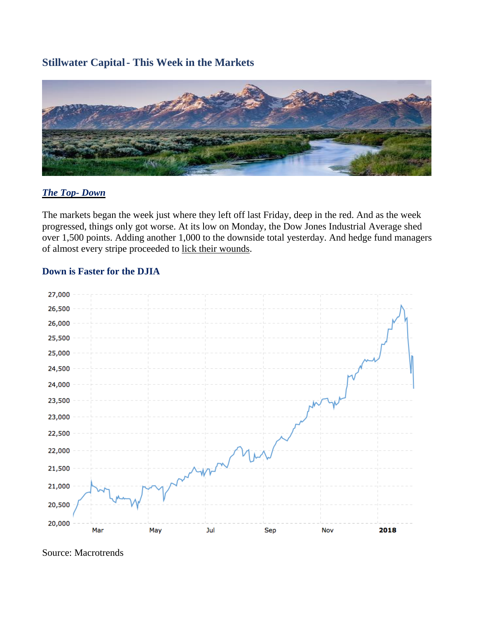# **Stillwater Capital- This Week in the Markets**



## *The Top- Down*

The markets began the week just where they left off last Friday, deep in the red. And as the week progressed, things only got worse. At its low on Monday, the Dow Jones Industrial Average shed over 1,500 points. Adding another 1,000 to the downside total yesterday. And hedge fund managers of almost every stripe proceeded to lick their [wounds.](https://www.wsj.com/articles/the-markets-big-bet-on-calm-turns-ugly-as-volatility-returns-1517959044)

#### **Down is Faster for the DJIA**



Source: Macrotrends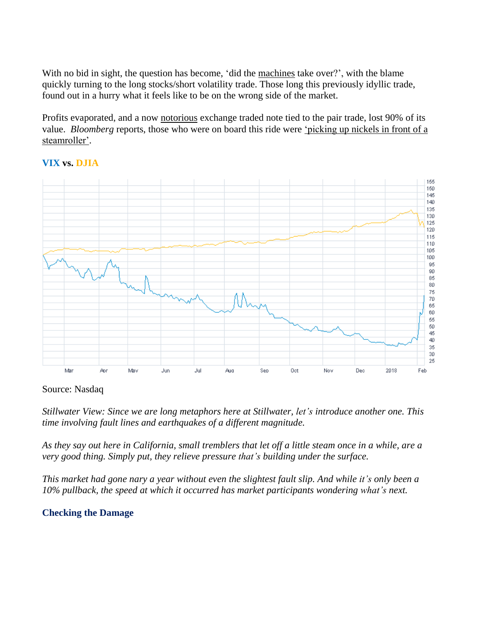With no bid in sight, the question has become, 'did the [machines](https://www.bloomberg.com/news/articles/2018-02-05/machines-had-their-fingerprints-all-over-a-dow-rout-for-the-ages) take over?', with the blame quickly turning to the long stocks/short volatility trade. Those long this previously idyllic trade, found out in a hurry what it feels like to be on the wrong side of the market.

Profits evaporated, and a now [notorious](http://www.chicagotribune.com/business/sns-bc-us-financial-markets-volatility-losers-20180206-story.html) exchange traded note tied to the pair trade, lost 90% of its value. *Bloomberg* reports, those who were on board this ride were ['picking](https://www.bloomberg.com/news/articles/2018-02-06/investors-who-bet-on-calm-markets-were-picking-up-nickels-in-front-of-a-steamroller) up nickels in front of a [steamroller'.](https://www.bloomberg.com/news/articles/2018-02-06/investors-who-bet-on-calm-markets-were-picking-up-nickels-in-front-of-a-steamroller)



## **VIX vs. DJIA**

#### Source: Nasdaq

*Stillwater View: Since we are long metaphors here at Stillwater, let's introduce another one. This time involving fault lines and earthquakes of a different magnitude.*

As they say out here in California, small tremblers that let off a little steam once in a while, are a *very good thing. Simply put, they relieve pressure that's building under the surface.*

This market had gone nary a year without even the slightest fault slip. And while it's only been a *10% pullback, the speed at which it occurred has market participants wondering what's next.*

## **Checking the Damage**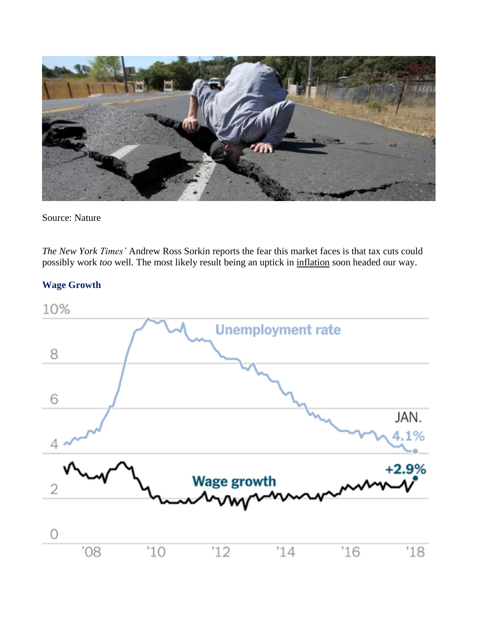

Source: Nature

*The New York Times'* Andrew Ross Sorkin reports the fear this market faces is that tax cuts could possibly work *too* well. The most likely result being an uptick in [inflation](https://www.nytimes.com/2018/02/05/business/dealbook/trump-markets-stimulus.html?rref=collection%2Fsectioncollection%2Fbusiness-dealbook&action=click&contentCollection=dealbook®ion=rank&module=package&version=highlights&contentPlacement=3&pgtype=sectionfront) soon headed our way.

## **Wage Growth**

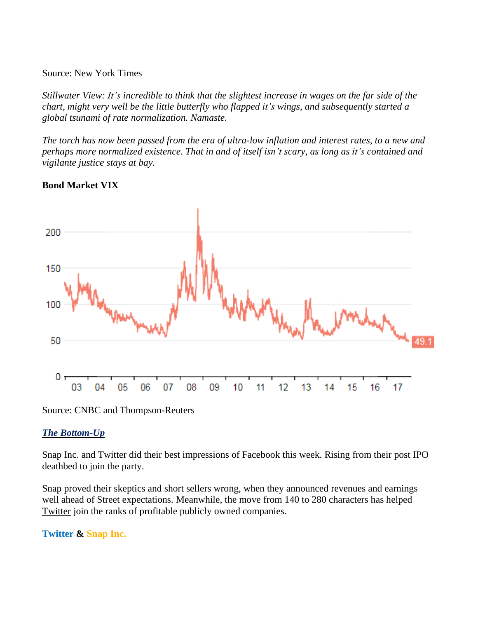#### Source: New York Times

Stillwater View: It's incredible to think that the slightest increase in wages on the far side of the *chart, might very well be the little butterfly who flapped it's wings, and subsequently started a global tsunami of rate normalization. Namaste.*

The torch has now been passed from the era of ultra-low inflation and interest rates, to a new and *perhaps more normalized existence. That in and of itself isn't scary, as long as it's contained and [vigilante](https://www.cnbc.com/2017/12/18/the-bond-vigilantes-may-seize-power-in-2018-as-worldwide-debt-swells.html) justice stays at bay.*

#### **Bond Market VIX**



Source: CNBC and Thompson-Reuters

#### *The Bottom-Up*

Snap Inc. and Twitter did their best impressions of Facebook this week. Rising from their post IPO deathbed to join the party.

Snap proved their skeptics and short sellers wrong, when they announced [revenues](https://www.cnbc.com/2018/02/06/snap-earnings-q4-2017.html) and earnings well ahead of Street expectations. Meanwhile, the move from 140 to 280 characters has helped [Twitter](https://www.npr.org/sections/thetwo-way/2018/02/08/584220408/twitter-announces-a-profit-for-the-first-time) join the ranks of profitable publicly owned companies.

## **Twitter & Snap Inc.**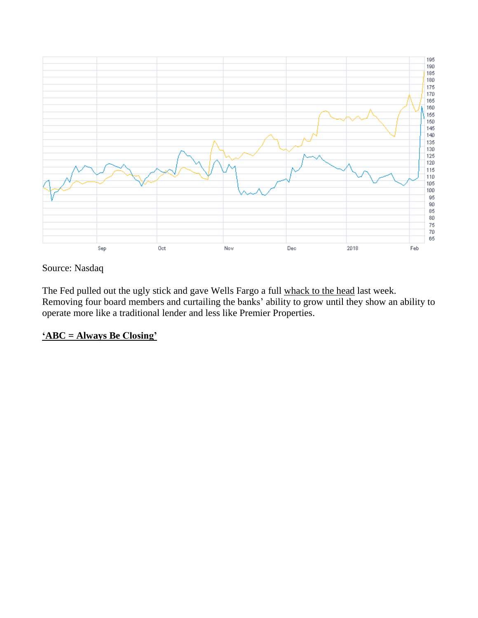

## Source: Nasdaq

The Fed pulled out the ugly stick and gave Wells Fargo a full [whack](https://www.nytimes.com/2018/02/02/business/wells-fargo-federal-reserve.html?rref=collection%2Fsectioncollection%2Fbusiness-dealbook&action=click&contentCollection=dealbook®ion=stream&module=stream_unit&version=latest&contentPlacement=8&pgtype=sectionfront) to the head last week. Removing four board members and curtailing the banks' ability to grow until they show an ability to operate more like a traditional lender and less like Premier Properties.

## **'ABC = Always Be [Closing'](https://www.youtube.com/watch?v=r6Lf8GtMe4M)**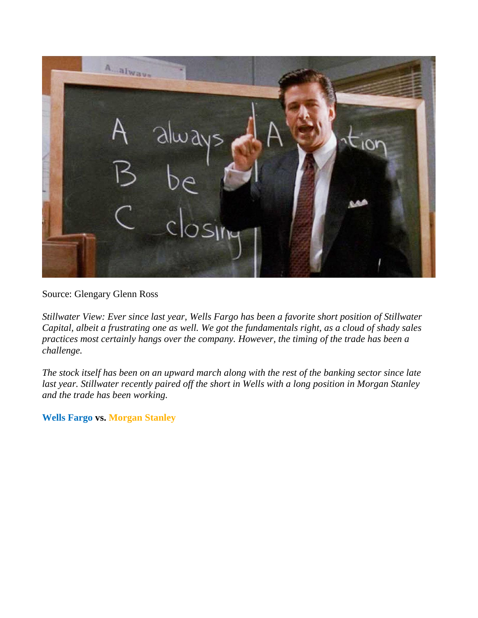

## Source: Glengary Glenn Ross

*Stillwater View: Ever since last year, Wells Fargo has been a favorite short position of Stillwater* Capital, albeit a frustrating one as well. We got the fundamentals right, as a cloud of shady sales *practices most certainly hangs over the company. However, the timing of the trade has been a challenge.*

The stock itself has been on an upward march along with the rest of the banking sector since late *last year. Stillwater recently paired off the short in Wells with a long position in Morgan Stanley and the trade has been working.*

**Wells Fargo vs. Morgan Stanley**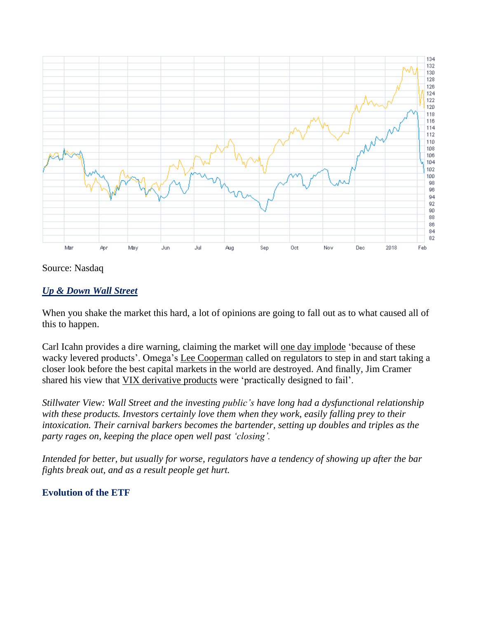

Source: Nasdaq

## *Up & Down Wall Street*

When you shake the market this hard, a lot of opinions are going to fall out as to what caused all of this to happen.

Carl Icahn provides a dire warning, claiming the market will <u>one day [implode](https://www.cnbc.com/2018/02/06/billionaire-investor-carl-icahn-there-are-too-many-derivatives-and-the-current-market-is-a-rumbling-warning.html)</u> 'because of these wacky levered products'. Omega's Lee [Cooperman](https://www.cnbc.com/2018/02/07/cooperman-crazy-securities-are-destroying-the-best-capital-market-in-the-world.html) called on regulators to step in and start taking a closer look before the best capital markets in the world are destroyed. And finally, Jim Cramer shared his view that VIX [derivative](https://www.cnbc.com/2018/02/06/cramer-vix-trading-products-are-practically-designed-to-fail.html) products were 'practically designed to fail'.

*Stillwater View: Wall Street and the investing public's have long had a dysfunctional relationship with these products. Investors certainly love them when they work, easily falling prey to their intoxication. Their carnival barkers becomes the bartender, setting up doubles and triples as the party rages on, keeping the place open well past 'closing'.*

*Intended for better, but usually for worse, regulators have a tendency of showing up after the bar fights break out, and as a result people get hurt.*

#### **Evolution of the ETF**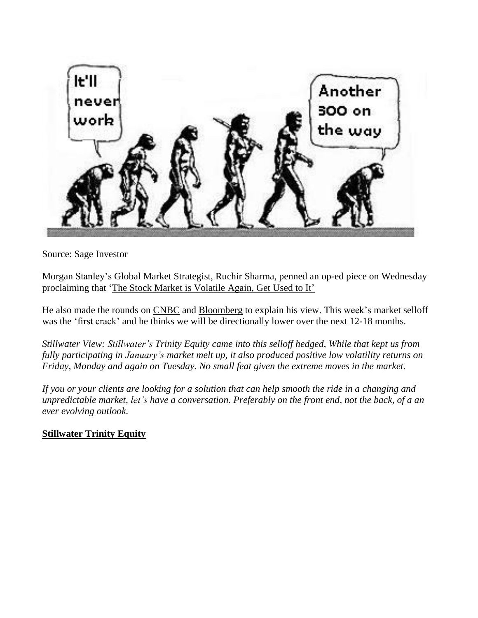

Source: Sage Investor

Morgan Stanley's Global Market Strategist, Ruchir Sharma, penned an op-ed piece on Wednesday proclaiming that 'The Stock Market is [Volatile](https://www.nytimes.com/2018/02/06/opinion/stock-market-volatile.html?mtrref=www.google.com&gwh=856EB50CCE688674FFB11ECEC5261206&gwt=pay&assetType=opinion) Again, Get Used to It'

He also made the rounds on [CNBC](https://www.cnbc.com/2018/02/07/the-bull-market-is-in-the-process-of-topping-out-morgan-stanley.html) and [Bloomberg](https://www.bloombergquint.com/global-economics/2018/02/06/get-used-to-such-market-crashes-says-ruchir-sharma) to explain his view. This week's market selloff was the 'first crack' and he thinks we will be directionally lower over the next 12-18 months.

*Stillwater View: Stillwater's Trinity Equity came into this selloff hedged, While that kept us from fully participating in January's market melt up, it also produced positive low volatility returns on Friday, Monday and again on Tuesday. No small feat given the extreme moves in the market.*

If you or your clients are looking for a solution that can help smooth the ride in a changing and *unpredictable market, let's have a conversation. Preferably on the front end, not the back, of a an ever evolving outlook.*

# **[Stillwater](http://stillcap.com/files/123180684.pdf) Trinity Equity**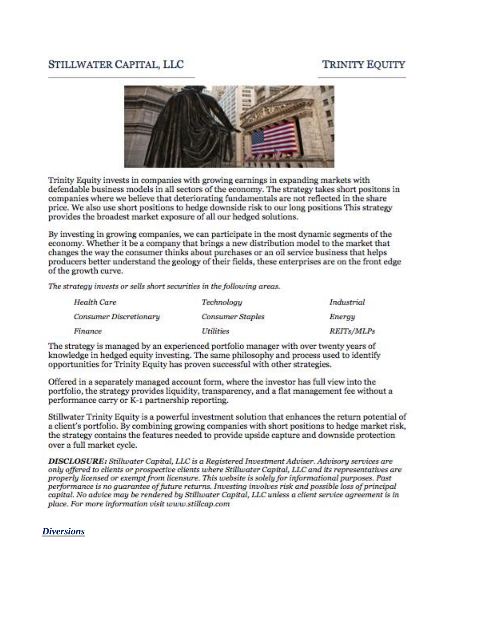# **TRINITY EQUITY**

# STILLWATER CAPITAL, LLC



Trinity Equity invests in companies with growing earnings in expanding markets with defendable business models in all sectors of the economy. The strategy takes short positons in companies where we believe that deteriorating fundamentals are not reflected in the share price. We also use short positions to hedge downside risk to our long positions This strategy provides the broadest market exposure of all our hedged solutions.

By investing in growing companies, we can participate in the most dynamic segments of the economy. Whether it be a company that brings a new distribution model to the market that changes the way the consumer thinks about purchases or an oil service business that helps producers better understand the geology of their fields, these enterprises are on the front edge of the growth curve.

The strategy invests or sells short securities in the following areas.

| <b>Health Care</b><br>Consumer Discretionary | Technology<br><b>Consumer Staples</b> | Industrial<br>Energy |
|----------------------------------------------|---------------------------------------|----------------------|
|                                              |                                       |                      |

The strategy is managed by an experienced portfolio manager with over twenty years of knowledge in hedged equity investing. The same philosophy and process used to identify opportunities for Trinity Equity has proven successful with other strategies.

Offered in a separately managed account form, where the investor has full view into the portfolio, the strategy provides liquidity, transparency, and a flat management fee without a performance carry or K-1 partnership reporting.

Stillwater Trinity Equity is a powerful investment solution that enhances the return potential of a client's portfolio. By combining growing companies with short positions to hedge market risk. the strategy contains the features needed to provide upside capture and downside protection over a full market cycle.

DISCLOSURE: Stillwater Capital, LLC is a Registered Investment Adviser. Advisory services are only offered to clients or prospective clients where Stillwater Capital, LLC and its representatives are properly licensed or exempt from licensure. This website is solely for informational purposes. Past performance is no quarantee of future returns. Investing involves risk and possible loss of principal capital. No advice may be rendered by Stillwater Capital, LLC unless a client service agreement is in place. For more information visit www.stillcap.com

#### *Diversions*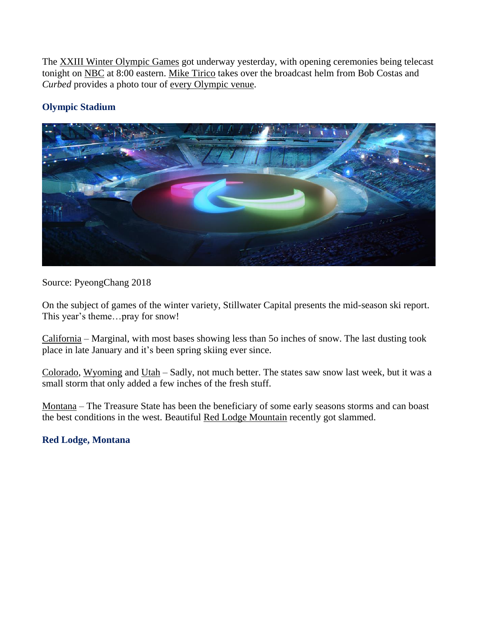The XXIII Winter [Olympic](https://www.olympic.org/pyeongchang-2018) Games got underway yesterday, with opening ceremonies being telecast tonight on [NBC](https://www.nbc.com/olympics?nbc=1) at 8:00 eastern. Mike [Tirico](http://www.nbcolympics.com/news/nbcs-mike-tirico-set-fill-bob-costas-shoes-korea) takes over the broadcast helm from Bob Costas and *Curbed* provides a photo tour of every [Olympic](https://www.curbed.com/2018/1/23/16898676/winter-olympics-2018-pyeongchang-south-korea-venues) venue.

# **Olympic Stadium**



Source: PyeongChang 2018

On the subject of games of the winter variety, Stillwater Capital presents the mid-season ski report. This year's theme…pray for snow!

[California](https://www.onthesnow.com/california/skireport.html) – Marginal, with most bases showing less than 5o inches of snow. The last dusting took place in late January and it's been spring skiing ever since.

[Colorado,](https://www.onthesnow.com/colorado/skireport.html) [Wyoming](https://www.onthesnow.com/wyoming/skireport.html) and [Utah](https://www.onthesnow.com/utah/skireport.html) – Sadly, not much better. The states saw snow last week, but it was a small storm that only added a few inches of the fresh stuff.

[Montana](https://www.onthesnow.com/montana/skireport.html) – The Treasure State has been the beneficiary of some early seasons storms and can boast the best conditions in the west. Beautiful Red Lodge [Mountain](https://www.redlodgemountain.com/) recently got slammed.

## **Red Lodge, Montana**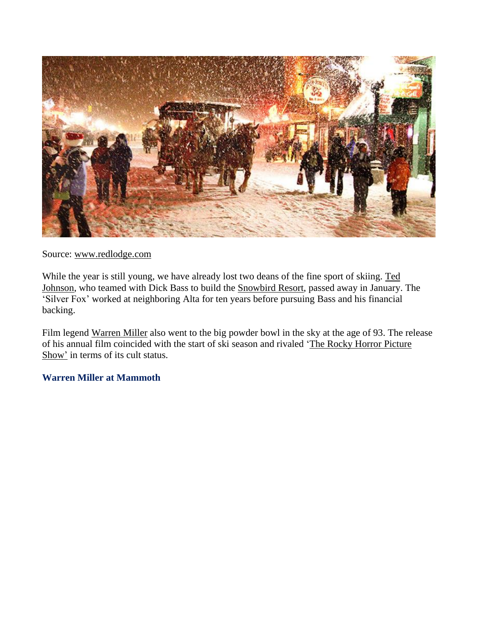

Source: [www.redlodge.com](http://www.redlodge.com/)

While the year is still young, we have already lost two deans of the fine sport of skiing. [Ted](https://www.sltrib.com/news/business/2018/01/30/ted-johnson-the-visionary-behind-snowbird-dies-of-his-injuries-after-a-drunk-driver-hit-him-in-a-crosswalk/) [Johnson,](https://www.sltrib.com/news/business/2018/01/30/ted-johnson-the-visionary-behind-snowbird-dies-of-his-injuries-after-a-drunk-driver-hit-him-in-a-crosswalk/) who teamed with Dick Bass to build the [Snowbird](https://www.snowbird.com/lodging/specials/?utm_campaign=search_brand_snowbird_resort&utm_medium=ppc&utm_source=google&gclid=Cj0KCQiAh_DTBRCTARIsABlT9MbVSLqkwOmGIpeGQvYl1CiEBjzikGkyxQ5rL5_O7APlrjILP5bqi2MaAh2TEALw_wcB&gclsrc=aw.ds) Resort, passed away in January. The 'Silver Fox' worked at neighboring Alta for ten years before pursuing Bass and his financial backing.

Film legend [Warren](http://variety.com/2018/film/people-news/warren-miller-dead-dies-skiing-1202676670/) Miller also went to the big powder bowl in the sky at the age of 93. The release of his annual film coincided with the start of ski season and rivaled 'The Rocky Horror [Picture](http://rockyhorror.com/) [Show'](http://rockyhorror.com/) in terms of its cult status.

#### **Warren Miller at Mammoth**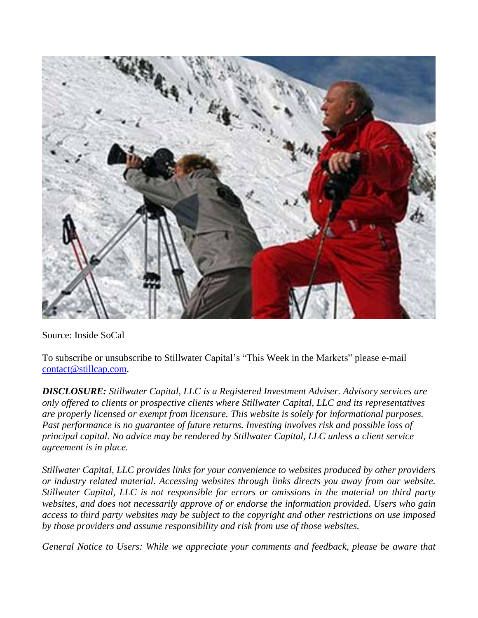

Source: Inside SoCal

To subscribe or unsubscribe to Stillwater Capital's "This Week in the Markets" please e-mail [contact@stillcap.com.](mailto:contact@stillcap.com)

*DISCLOSURE: Stillwater Capital, LLC is a Registered Investment Adviser. Advisory services are only offered to clients or prospective clients where Stillwater Capital, LLC and its representatives are properly licensed or exempt from licensure. This website is solely for informational purposes. Past performance is no guarantee of future returns. Investing involves risk and possible loss of principal capital. No advice may be rendered by Stillwater Capital, LLC unless a client service agreement is in place.*

*Stillwater Capital, LLC provides links for your convenience to websites produced by other providers or industry related material. Accessing websites through links directs you away from our website. Stillwater Capital, LLC is not responsible for errors or omissions in the material on third party websites, and does not necessarily approve of or endorse the information provided. Users who gain access to third party websites may be subject to the copyright and other restrictions on use imposed by those providers and assume responsibility and risk from use of those websites.*

*General Notice to Users: While we appreciate your comments and feedback, please be aware that*